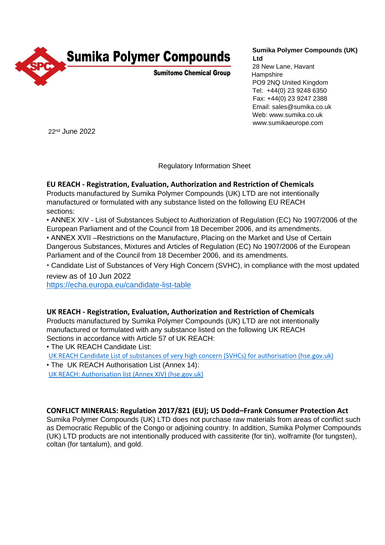

# **Sumika Polymer Compounds (UK) Ltd**

28 New Lane, Havant **Hampshire** PO9 2NQ United Kingdom Tel: +44(0) 23 9248 6350 Fax: +44(0) 23 9247 2388 Email: sales@sumika.co.uk Web: www.sumika.co.uk www.sumikaeurope.com

22nd June 2022

Regulatory Information Sheet

## **EU REACH - Registration, Evaluation, Authorization and Restriction of Chemicals**

Products manufactured by Sumika Polymer Compounds (UK) LTD are not intentionally manufactured or formulated with any substance listed on the following EU REACH sections:

• ANNEX XIV - List of Substances Subject to Authorization of Regulation (EC) No 1907/2006 of the European Parliament and of the Council from 18 December 2006, and its amendments. • ANNEX XVII –Restrictions on the Manufacture, Placing on the Market and Use of Certain Dangerous Substances, Mixtures and Articles of Regulation (EC) No 1907/2006 of the European Parliament and of the Council from 18 December 2006, and its amendments.

• Candidate List of Substances of Very High Concern (SVHC), in compliance with the most updated review as of 10 Jun 2022

<https://echa.europa.eu/candidate-list-table>

## **UK REACH - Registration, Evaluation, Authorization and Restriction of Chemicals**

Products manufactured by Sumika Polymer Compounds (UK) LTD are not intentionally manufactured or formulated with any substance listed on the following UK REACH Sections in accordance with Article 57 of UK REACH:

• The [UK REACH Candidate List:](https://www.hse.gov.uk/reach/candidate-list.htm) [UK REACH Candidate List of substances of very high concern \(SVHCs\) for authorisation \(hse.gov.uk\)](https://www.hse.gov.uk/reach/candidate-list.htm) • The [UK REACH Authorisation List \(Annex 14\):](https://www.hse.gov.uk/reach/authorisation-list.htm)

[UK REACH: Authorisation list \(Annex XIV\) \(hse.gov.uk\)](https://www.hse.gov.uk/reach/authorisation-list.htm)

## **CONFLICT MINERALS: Regulation 2017/821 (EU); US Dodd–Frank Consumer Protection Act**

Sumika Polymer Compounds (UK) LTD does not purchase raw materials from areas of conflict such as Democratic Republic of the Congo or adjoining country. In addition, Sumika Polymer Compounds (UK) LTD products are not intentionally produced with cassiterite (for tin), wolframite (for tungsten), coltan (for tantalum), and gold.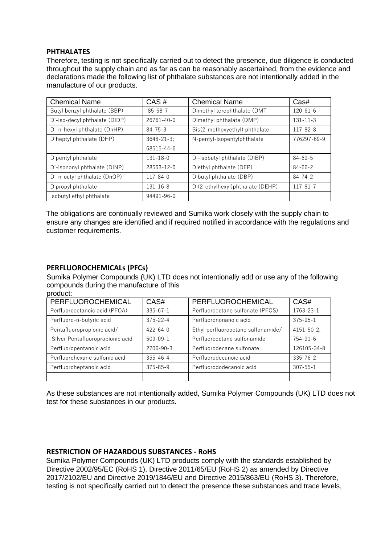#### **PHTHALATES**

Therefore, testing is not specifically carried out to detect the presence, due diligence is conducted throughout the supply chain and as far as can be reasonably ascertained, from the evidence and declarations made the following list of phthalate substances are not intentionally added in the manufacture of our products.

| <b>Chemical Name</b>          | CAS#            | <b>Chemical Name</b>             | Cas#           |
|-------------------------------|-----------------|----------------------------------|----------------|
| Butyl benzyl phthalate (BBP)  | $85 - 68 - 7$   | Dimethyl terephthalate (DMT      | $120 - 61 - 6$ |
| Di-iso-decyl phthalate (DIDP) | 26761-40-0      | Dimethyl phthalate (DMP)         | $131 - 11 - 3$ |
| Di-n-hexyl phthalate (DnHP)   | $84 - 75 - 3$   | Bis(2-methoxyethyl) phthalate    | 117-82-8       |
| Diheptyl phthalate (DHP)      | $3648 - 21 - 3$ | N-pentyl-isopentylphthalate      | 776297-69-9    |
|                               | 68515-44-6      |                                  |                |
| Dipentyl phthalate            | $131 - 18 - 0$  | Di-isobutyl phthalate (DIBP)     | $84 - 69 - 5$  |
| Di-isononyl phthalate (DINP)  | 28553-12-0      | Diethyl phthalate (DEP)          | $84 - 66 - 2$  |
| Di-n-octyl phthalate (DnOP)   | $117 - 84 - 0$  | Dibutyl phthalate (DBP)          | $84 - 74 - 2$  |
| Dipropyl phthalate            | $131 - 16 - 8$  | Di(2-ethylhexyl)phthalate (DEHP) | $117 - 81 - 7$ |
| Isobutyl ethyl phthalate      | 94491-96-0      |                                  |                |

The obligations are continually reviewed and Sumika work closely with the supply chain to ensure any changes are identified and if required notified in accordance with the regulations and customer requirements.

#### **PERFLUOROCHEMICALs (PFCs)**

Sumika Polymer Compounds (UK) LTD does not intentionally add or use any of the following compounds during the manufacture of this

| PERFLUOROCHEMICAL                | CAS#           | PERFLUOROCHEMICAL                  | CAS#           |
|----------------------------------|----------------|------------------------------------|----------------|
| Perfluorooctanoic acid (PFOA)    | $335 - 67 - 1$ | Perfluorooctane sulfonate (PFOS)   | 1763-23-1      |
| Perfluoro-n-butyric acid         | $375 - 22 - 4$ | Perfluorononanoic acid             | $375 - 95 - 1$ |
| Pentafluoropropionic acid/       | $422 - 64 - 0$ | Ethyl perfluorooctane sulfonamide/ | 4151-50-2.     |
| Silver Pentafluoropropionic acid | $509 - 09 - 1$ | Perfluorooctane sulfonamide        | $754 - 91 - 6$ |
| Perfluoropentanoic acid          | 2706-90-3      | Perfluorodecane sulfonate          | 126105-34-8    |
| Perfluorohexane sulfonic acid    | $355 - 46 - 4$ | Perfluorodecanoic acid             | $335 - 76 - 2$ |
| Perfluoroheptanoic acid          | $375 - 85 - 9$ | Perfluorododecanoic acid           | $307 - 55 - 1$ |
|                                  |                |                                    |                |

As these substances are not intentionally added, Sumika Polymer Compounds (UK) LTD does not test for these substances in our products.

#### **RESTRICTION OF HAZARDOUS SUBSTANCES - RoHS**

Sumika Polymer Compounds (UK) LTD products comply with the standards established by Directive 2002/95/EC (RoHS 1), Directive 2011/65/EU (RoHS 2) as amended by Directive 2017/2102/EU and Directive 2019/1846/EU and Directive 2015/863/EU (RoHS 3). Therefore, testing is not specifically carried out to detect the presence these substances and trace levels,